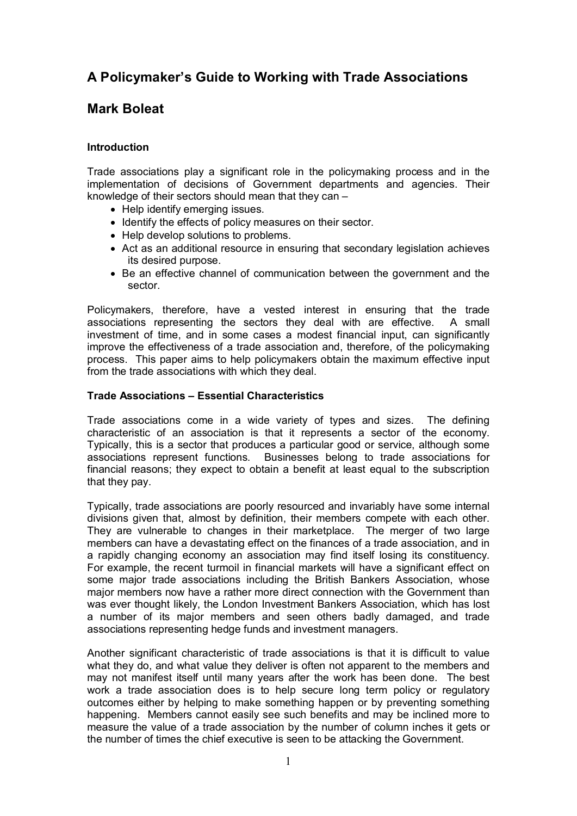# **A Policymaker's Guide to Working with Trade Associations**

## **Mark Boleat**

## **Introduction**

Trade associations play a significant role in the policymaking process and in the implementation of decisions of Government departments and agencies. Their knowledge of their sectors should mean that they can –

- Help identify emerging issues.
- · Identify the effects of policy measures on their sector.
- · Help develop solutions to problems.
- · Act as an additional resource in ensuring that secondary legislation achieves its desired purpose.
- · Be an effective channel of communication between the government and the sector.

Policymakers, therefore, have a vested interest in ensuring that the trade associations representing the sectors they deal with are effective. A small investment of time, and in some cases a modest financial input, can significantly improve the effectiveness of a trade association and, therefore, of the policymaking process. This paper aims to help policymakers obtain the maximum effective input from the trade associations with which they deal.

## **Trade Associations – Essential Characteristics**

Trade associations come in a wide variety of types and sizes. The defining characteristic of an association is that it represents a sector of the economy. Typically, this is a sector that produces a particular good or service, although some associations represent functions. Businesses belong to trade associations for financial reasons; they expect to obtain a benefit at least equal to the subscription that they pay.

Typically, trade associations are poorly resourced and invariably have some internal divisions given that, almost by definition, their members compete with each other. They are vulnerable to changes in their marketplace. The merger of two large members can have a devastating effect on the finances of a trade association, and in a rapidly changing economy an association may find itself losing its constituency. For example, the recent turmoil in financial markets will have a significant effect on some major trade associations including the British Bankers Association, whose major members now have a rather more direct connection with the Government than was ever thought likely, the London Investment Bankers Association, which has lost a number of its major members and seen others badly damaged, and trade associations representing hedge funds and investment managers.

Another significant characteristic of trade associations is that it is difficult to value what they do, and what value they deliver is often not apparent to the members and may not manifest itself until many years after the work has been done. The best work a trade association does is to help secure long term policy or regulatory outcomes either by helping to make something happen or by preventing something happening. Members cannot easily see such benefits and may be inclined more to measure the value of a trade association by the number of column inches it gets or the number of times the chief executive is seen to be attacking the Government.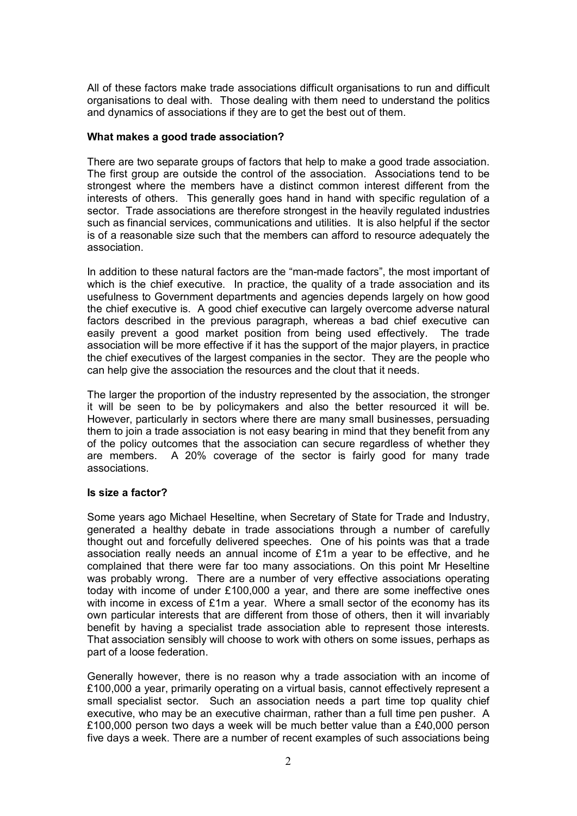All of these factors make trade associations difficult organisations to run and difficult organisations to deal with. Those dealing with them need to understand the politics and dynamics of associations if they are to get the best out of them.

#### **What makes a good trade association?**

There are two separate groups of factors that help to make a good trade association. The first group are outside the control of the association. Associations tend to be strongest where the members have a distinct common interest different from the interests of others. This generally goes hand in hand with specific regulation of a sector. Trade associations are therefore strongest in the heavily regulated industries such as financial services, communications and utilities. It is also helpful if the sector is of a reasonable size such that the members can afford to resource adequately the association.

In addition to these natural factors are the "man-made factors", the most important of which is the chief executive. In practice, the quality of a trade association and its usefulness to Government departments and agencies depends largely on how good the chief executive is. A good chief executive can largely overcome adverse natural factors described in the previous paragraph, whereas a bad chief executive can easily prevent a good market position from being used effectively. The trade association will be more effective if it has the support of the major players, in practice the chief executives of the largest companies in the sector. They are the people who can help give the association the resources and the clout that it needs.

The larger the proportion of the industry represented by the association, the stronger it will be seen to be by policymakers and also the better resourced it will be. However, particularly in sectors where there are many small businesses, persuading them to join a trade association is not easy bearing in mind that they benefit from any of the policy outcomes that the association can secure regardless of whether they are members. A 20% coverage of the sector is fairly good for many trade associations.

## **Is size a factor?**

Some years ago Michael Heseltine, when Secretary of State for Trade and Industry, generated a healthy debate in trade associations through a number of carefully thought out and forcefully delivered speeches. One of his points was that a trade association really needs an annual income of £1m a year to be effective, and he complained that there were far too many associations. On this point Mr Heseltine was probably wrong. There are a number of very effective associations operating today with income of under £100,000 a year, and there are some ineffective ones with income in excess of £1m a year. Where a small sector of the economy has its own particular interests that are different from those of others, then it will invariably benefit by having a specialist trade association able to represent those interests. That association sensibly will choose to work with others on some issues, perhaps as part of a loose federation.

Generally however, there is no reason why a trade association with an income of £100,000 a year, primarily operating on a virtual basis, cannot effectively represent a small specialist sector. Such an association needs a part time top quality chief executive, who may be an executive chairman, rather than a full time pen pusher. A £100,000 person two days a week will be much better value than a £40,000 person five days a week. There are a number of recent examples of such associations being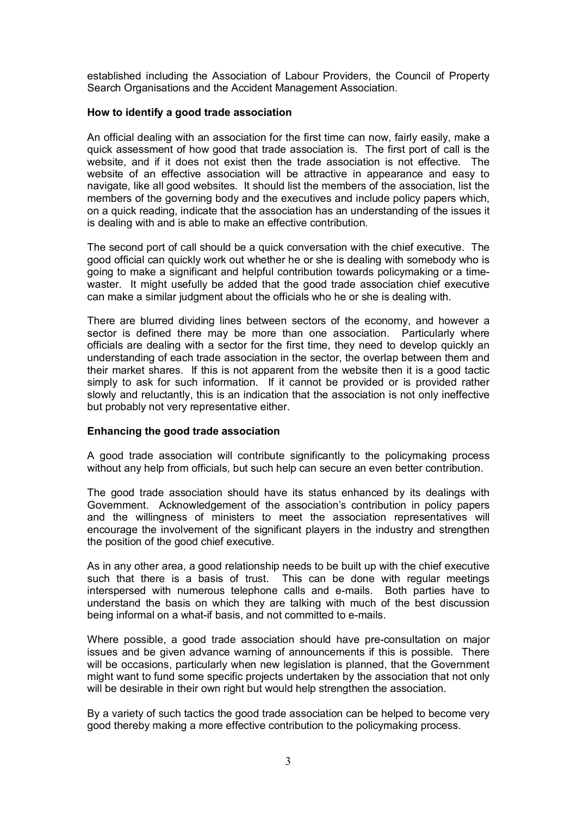established including the Association of Labour Providers, the Council of Property Search Organisations and the Accident Management Association.

## **How to identify a good trade association**

An official dealing with an association for the first time can now, fairly easily, make a quick assessment of how good that trade association is. The first port of call is the website, and if it does not exist then the trade association is not effective. The website of an effective association will be attractive in appearance and easy to navigate, like all good websites. It should list the members of the association, list the members of the governing body and the executives and include policy papers which, on a quick reading, indicate that the association has an understanding of the issues it is dealing with and is able to make an effective contribution.

The second port of call should be a quick conversation with the chief executive. The good official can quickly work out whether he or she is dealing with somebody who is going to make a significant and helpful contribution towards policymaking or a timewaster. It might usefully be added that the good trade association chief executive can make a similar judgment about the officials who he or she is dealing with.

There are blurred dividing lines between sectors of the economy, and however a sector is defined there may be more than one association. Particularly where officials are dealing with a sector for the first time, they need to develop quickly an understanding of each trade association in the sector, the overlap between them and their market shares. If this is not apparent from the website then it is a good tactic simply to ask for such information. If it cannot be provided or is provided rather slowly and reluctantly, this is an indication that the association is not only ineffective but probably not very representative either.

## **Enhancing the good trade association**

A good trade association will contribute significantly to the policymaking process without any help from officials, but such help can secure an even better contribution.

The good trade association should have its status enhanced by its dealings with Government. Acknowledgement of the association's contribution in policy papers and the willingness of ministers to meet the association representatives will encourage the involvement of the significant players in the industry and strengthen the position of the good chief executive.

As in any other area, a good relationship needs to be built up with the chief executive such that there is a basis of trust. This can be done with regular meetings interspersed with numerous telephone calls and e-mails. Both parties have to understand the basis on which they are talking with much of the best discussion being informal on a what-if basis, and not committed to e-mails.

Where possible, a good trade association should have pre-consultation on major issues and be given advance warning of announcements if this is possible. There will be occasions, particularly when new legislation is planned, that the Government might want to fund some specific projects undertaken by the association that not only will be desirable in their own right but would help strengthen the association.

By a variety of such tactics the good trade association can be helped to become very good thereby making a more effective contribution to the policymaking process.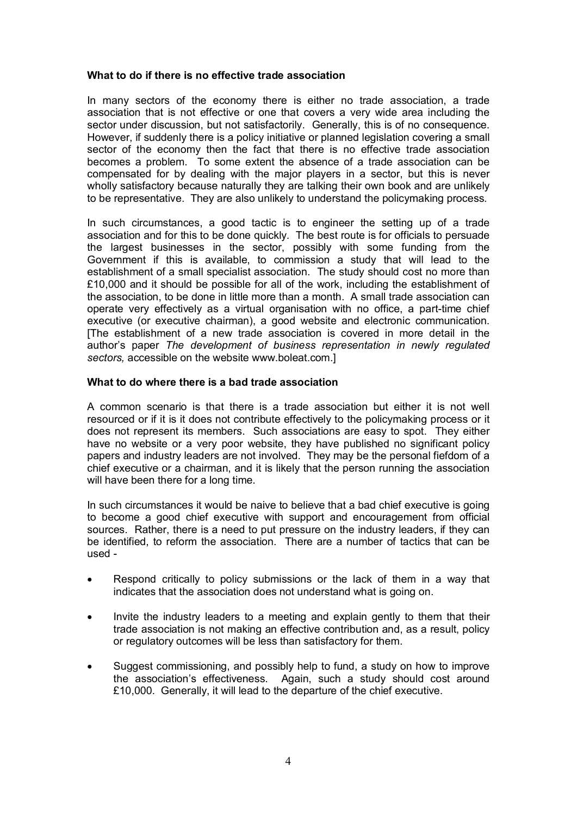#### **What to do if there is no effective trade association**

In many sectors of the economy there is either no trade association, a trade association that is not effective or one that covers a very wide area including the sector under discussion, but not satisfactorily. Generally, this is of no consequence. However, if suddenly there is a policy initiative or planned legislation covering a small sector of the economy then the fact that there is no effective trade association becomes a problem. To some extent the absence of a trade association can be compensated for by dealing with the major players in a sector, but this is never wholly satisfactory because naturally they are talking their own book and are unlikely to be representative. They are also unlikely to understand the policymaking process.

In such circumstances, a good tactic is to engineer the setting up of a trade association and for this to be done quickly. The best route is for officials to persuade the largest businesses in the sector, possibly with some funding from the Government if this is available, to commission a study that will lead to the establishment of a small specialist association. The study should cost no more than £10,000 and it should be possible for all of the work, including the establishment of the association, to be done in little more than a month. A small trade association can operate very effectively as a virtual organisation with no office, a part-time chief executive (or executive chairman), a good website and electronic communication. [The establishment of a new trade association is covered in more detail in the author's paper *The development of business representation in newly regulated sectors,* accessible on the website www.boleat.com.]

#### **What to do where there is a bad trade association**

A common scenario is that there is a trade association but either it is not well resourced or if it is it does not contribute effectively to the policymaking process or it does not represent its members. Such associations are easy to spot. They either have no website or a very poor website, they have published no significant policy papers and industry leaders are not involved. They may be the personal fiefdom of a chief executive or a chairman, and it is likely that the person running the association will have been there for a long time.

In such circumstances it would be naive to believe that a bad chief executive is going to become a good chief executive with support and encouragement from official sources. Rather, there is a need to put pressure on the industry leaders, if they can be identified, to reform the association. There are a number of tactics that can be used -

- Respond critically to policy submissions or the lack of them in a way that indicates that the association does not understand what is going on.
- Invite the industry leaders to a meeting and explain gently to them that their trade association is not making an effective contribution and, as a result, policy or regulatory outcomes will be less than satisfactory for them.
- Suggest commissioning, and possibly help to fund, a study on how to improve the association's effectiveness. Again, such a study should cost around £10,000. Generally, it will lead to the departure of the chief executive.